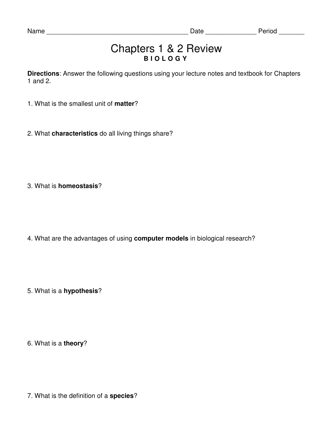## Chapters 1 & 2 Review **B I O L O G Y**

**Directions**: Answer the following questions using your lecture notes and textbook for Chapters 1 and 2.

- 1. What is the smallest unit of **matter**?
- 2. What **characteristics** do all living things share?

3. What is **homeostasis**?

4. What are the advantages of using **computer models** in biological research?

5. What is a **hypothesis**?

6. What is a **theory**?

7. What is the definition of a **species**?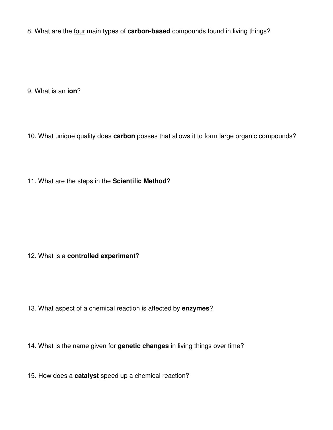8. What are the four main types of **carbon-based** compounds found in living things?

9. What is an **ion**?

10. What unique quality does **carbon** posses that allows it to form large organic compounds?

11. What are the steps in the **Scientific Method**?

## 12. What is a **controlled experiment**?

13. What aspect of a chemical reaction is affected by **enzymes**?

14. What is the name given for **genetic changes** in living things over time?

15. How does a **catalyst** speed up a chemical reaction?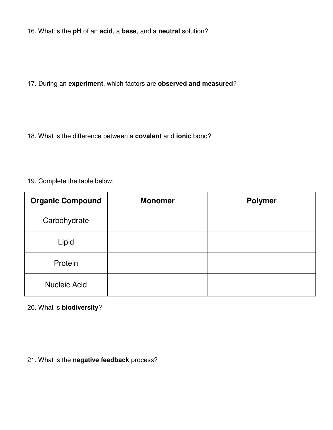16. What is the **pH** of an **acid**, a **base**, and a **neutral** solution?

17. During an **experiment**, which factors are **observed and measured**?

18. What is the difference between a **covalent** and **ionic** bond?

19. Complete the table below:

| <b>Organic Compound</b> | <b>Monomer</b> | <b>Polymer</b> |
|-------------------------|----------------|----------------|
| Carbohydrate            |                |                |
| Lipid                   |                |                |
| Protein                 |                |                |
| <b>Nucleic Acid</b>     |                |                |

## 20. What is **biodiversity**?

## 21. What is the **negative feedback** process?